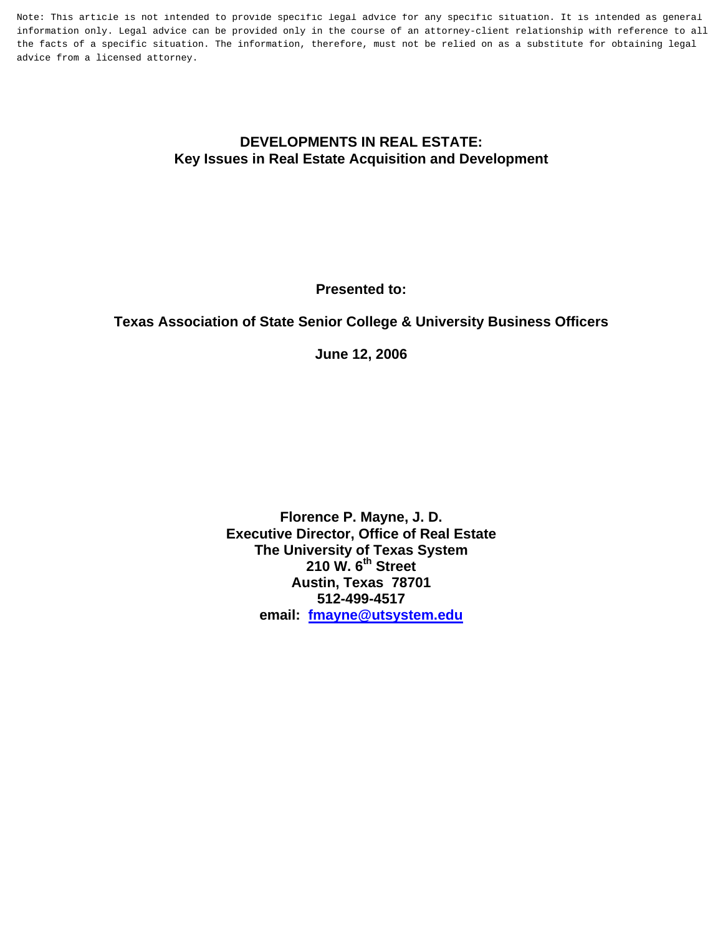Note: This article is not intended to provide specific legal advice for any specific situation. It is intended as general information only. Legal advice can be provided only in the course of an attorney-client relationship with reference to all the facts of a specific situation. The information, therefore, must not be relied on as a substitute for obtaining legal advice from a licensed attorney.

#### **DEVELOPMENTS IN REAL ESTATE: Key Issues in Real Estate Acquisition and Development**

**Presented to:** 

# **Texas Association of State Senior College & University Business Officers**

**June 12, 2006** 

**Florence P. Mayne, J. D. Executive Director, Office of Real Estate The University of Texas System 210 W. 6th Street Austin, Texas 78701 512-499-4517 email: [fmayne@utsystem.edu](mailto:fmayne@utsystem.edu)**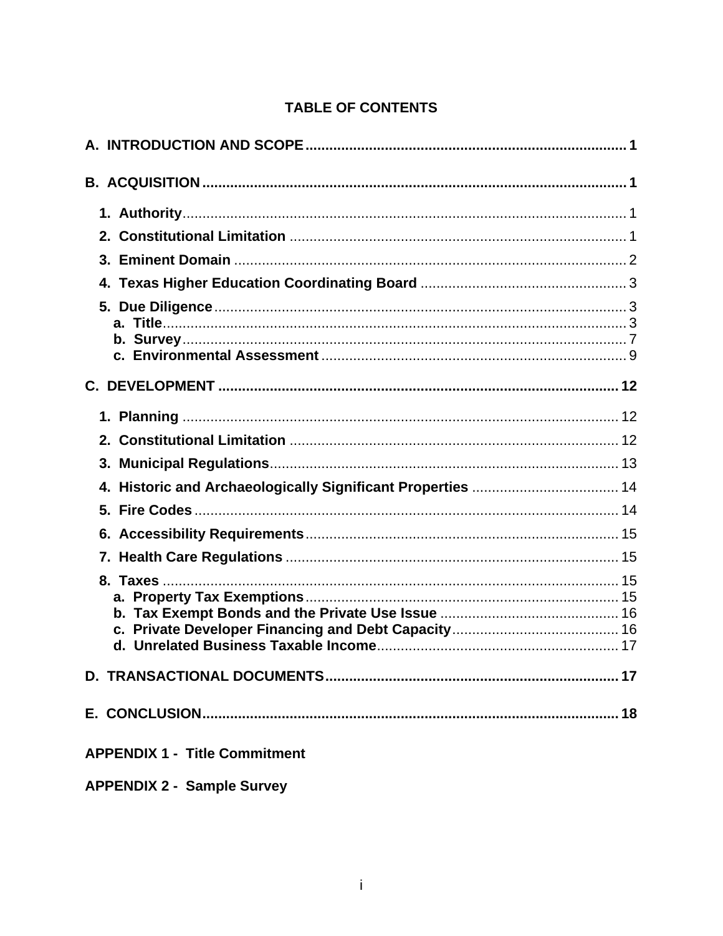# **TABLE OF CONTENTS**

| 4. Historic and Archaeologically Significant Properties  14 |
|-------------------------------------------------------------|
|                                                             |
|                                                             |
|                                                             |
|                                                             |
|                                                             |
|                                                             |
| <b>APPENDIX 1 - Title Commitment</b>                        |

**APPENDIX 2 - Sample Survey**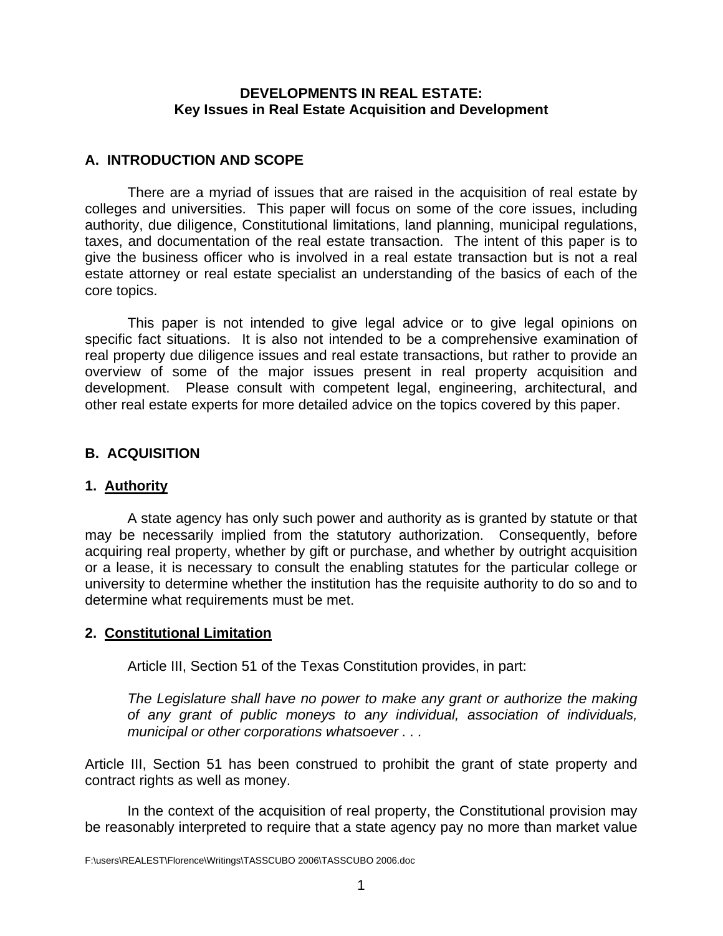#### **DEVELOPMENTS IN REAL ESTATE: Key Issues in Real Estate Acquisition and Development**

### <span id="page-2-0"></span>**A. INTRODUCTION AND SCOPE**

There are a myriad of issues that are raised in the acquisition of real estate by colleges and universities. This paper will focus on some of the core issues, including authority, due diligence, Constitutional limitations, land planning, municipal regulations, taxes, and documentation of the real estate transaction. The intent of this paper is to give the business officer who is involved in a real estate transaction but is not a real estate attorney or real estate specialist an understanding of the basics of each of the core topics.

 This paper is not intended to give legal advice or to give legal opinions on specific fact situations. It is also not intended to be a comprehensive examination of real property due diligence issues and real estate transactions, but rather to provide an overview of some of the major issues present in real property acquisition and development. Please consult with competent legal, engineering, architectural, and other real estate experts for more detailed advice on the topics covered by this paper.

# **B. ACQUISITION**

# **1. Authority**

 A state agency has only such power and authority as is granted by statute or that may be necessarily implied from the statutory authorization. Consequently, before acquiring real property, whether by gift or purchase, and whether by outright acquisition or a lease, it is necessary to consult the enabling statutes for the particular college or university to determine whether the institution has the requisite authority to do so and to determine what requirements must be met.

# **2. Constitutional Limitation**

Article III, Section 51 of the Texas Constitution provides, in part:

*The Legislature shall have no power to make any grant or authorize the making of any grant of public moneys to any individual, association of individuals, municipal or other corporations whatsoever . . .* 

Article III, Section 51 has been construed to prohibit the grant of state property and contract rights as well as money.

In the context of the acquisition of real property, the Constitutional provision may be reasonably interpreted to require that a state agency pay no more than market value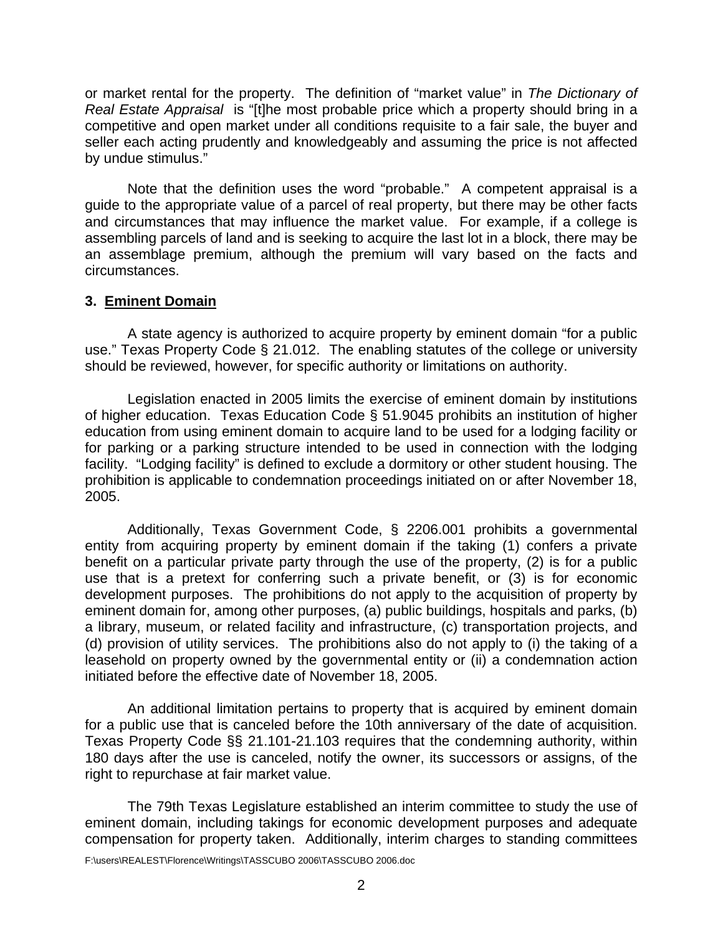<span id="page-3-0"></span>or market rental for the property. The definition of "market value" in *The Dictionary of Real Estate Appraisal* is "[t]he most probable price which a property should bring in a competitive and open market under all conditions requisite to a fair sale, the buyer and seller each acting prudently and knowledgeably and assuming the price is not affected by undue stimulus."

 Note that the definition uses the word "probable." A competent appraisal is a guide to the appropriate value of a parcel of real property, but there may be other facts and circumstances that may influence the market value. For example, if a college is assembling parcels of land and is seeking to acquire the last lot in a block, there may be an assemblage premium, although the premium will vary based on the facts and circumstances.

#### **3. Eminent Domain**

A state agency is authorized to acquire property by eminent domain "for a public use." Texas Property Code § 21.012. The enabling statutes of the college or university should be reviewed, however, for specific authority or limitations on authority.

Legislation enacted in 2005 limits the exercise of eminent domain by institutions of higher education. Texas Education Code § 51.9045 prohibits an institution of higher education from using eminent domain to acquire land to be used for a lodging facility or for parking or a parking structure intended to be used in connection with the lodging facility. "Lodging facility" is defined to exclude a dormitory or other student housing. The prohibition is applicable to condemnation proceedings initiated on or after November 18, 2005.

Additionally, Texas Government Code, § 2206.001 prohibits a governmental entity from acquiring property by eminent domain if the taking (1) confers a private benefit on a particular private party through the use of the property, (2) is for a public use that is a pretext for conferring such a private benefit, or (3) is for economic development purposes. The prohibitions do not apply to the acquisition of property by eminent domain for, among other purposes, (a) public buildings, hospitals and parks, (b) a library, museum, or related facility and infrastructure, (c) transportation projects, and (d) provision of utility services. The prohibitions also do not apply to (i) the taking of a leasehold on property owned by the governmental entity or (ii) a condemnation action initiated before the effective date of November 18, 2005.

 An additional limitation pertains to property that is acquired by eminent domain for a public use that is canceled before the 10th anniversary of the date of acquisition. Texas Property Code §§ 21.101-21.103 requires that the condemning authority, within 180 days after the use is canceled, notify the owner, its successors or assigns, of the right to repurchase at fair market value.

 The 79th Texas Legislature established an interim committee to study the use of eminent domain, including takings for economic development purposes and adequate compensation for property taken. Additionally, interim charges to standing committees

F:\users\REALEST\Florence\Writings\TASSCUBO 2006\TASSCUBO 2006.doc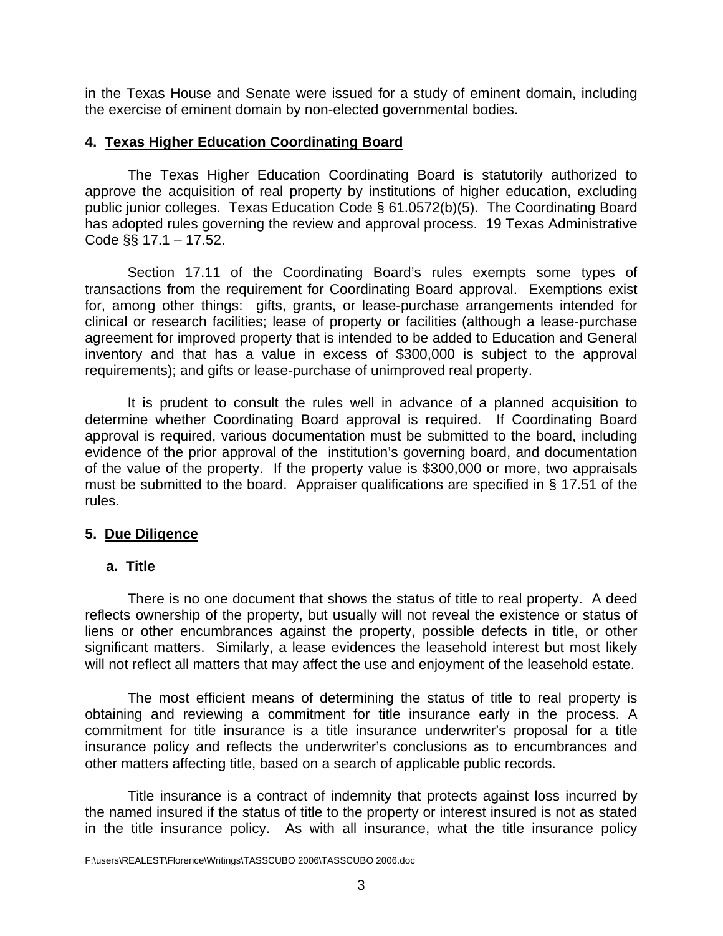<span id="page-4-0"></span>in the Texas House and Senate were issued for a study of eminent domain, including the exercise of eminent domain by non-elected governmental bodies.

#### **4. Texas Higher Education Coordinating Board**

The Texas Higher Education Coordinating Board is statutorily authorized to approve the acquisition of real property by institutions of higher education, excluding public junior colleges. Texas Education Code § 61.0572(b)(5). The Coordinating Board has adopted rules governing the review and approval process. 19 Texas Administrative Code §§ 17.1 – 17.52.

Section 17.11 of the Coordinating Board's rules exempts some types of transactions from the requirement for Coordinating Board approval. Exemptions exist for, among other things: gifts, grants, or lease-purchase arrangements intended for clinical or research facilities; lease of property or facilities (although a lease-purchase agreement for improved property that is intended to be added to Education and General inventory and that has a value in excess of \$300,000 is subject to the approval requirements); and gifts or lease-purchase of unimproved real property.

It is prudent to consult the rules well in advance of a planned acquisition to determine whether Coordinating Board approval is required. If Coordinating Board approval is required, various documentation must be submitted to the board, including evidence of the prior approval of the institution's governing board, and documentation of the value of the property. If the property value is \$300,000 or more, two appraisals must be submitted to the board. Appraiser qualifications are specified in § 17.51 of the rules.

# **5. Due Diligence**

#### **a. Title**

There is no one document that shows the status of title to real property. A deed reflects ownership of the property, but usually will not reveal the existence or status of liens or other encumbrances against the property, possible defects in title, or other significant matters. Similarly, a lease evidences the leasehold interest but most likely will not reflect all matters that may affect the use and enjoyment of the leasehold estate.

 The most efficient means of determining the status of title to real property is obtaining and reviewing a commitment for title insurance early in the process. A commitment for title insurance is a title insurance underwriter's proposal for a title insurance policy and reflects the underwriter's conclusions as to encumbrances and other matters affecting title, based on a search of applicable public records.

Title insurance is a contract of indemnity that protects against loss incurred by the named insured if the status of title to the property or interest insured is not as stated in the title insurance policy. As with all insurance, what the title insurance policy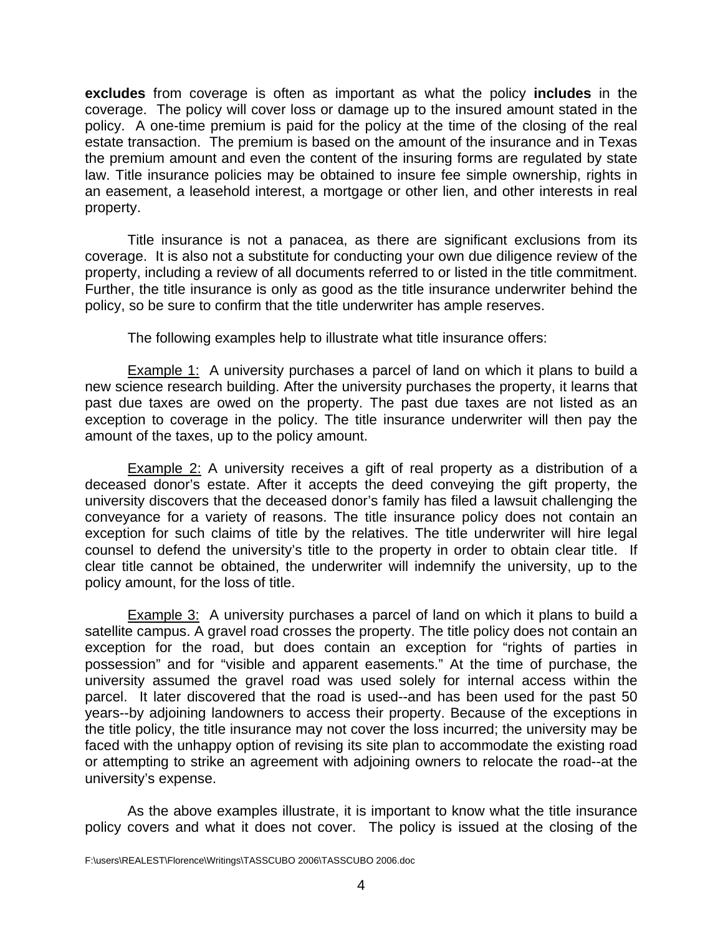**excludes** from coverage is often as important as what the policy **includes** in the coverage. The policy will cover loss or damage up to the insured amount stated in the policy. A one-time premium is paid for the policy at the time of the closing of the real estate transaction. The premium is based on the amount of the insurance and in Texas the premium amount and even the content of the insuring forms are regulated by state law. Title insurance policies may be obtained to insure fee simple ownership, rights in an easement, a leasehold interest, a mortgage or other lien, and other interests in real property.

Title insurance is not a panacea, as there are significant exclusions from its coverage. It is also not a substitute for conducting your own due diligence review of the property, including a review of all documents referred to or listed in the title commitment. Further, the title insurance is only as good as the title insurance underwriter behind the policy, so be sure to confirm that the title underwriter has ample reserves.

The following examples help to illustrate what title insurance offers:

Example 1: A university purchases a parcel of land on which it plans to build a new science research building. After the university purchases the property, it learns that past due taxes are owed on the property. The past due taxes are not listed as an exception to coverage in the policy. The title insurance underwriter will then pay the amount of the taxes, up to the policy amount.

**Example 2:** A university receives a gift of real property as a distribution of a deceased donor's estate. After it accepts the deed conveying the gift property, the university discovers that the deceased donor's family has filed a lawsuit challenging the conveyance for a variety of reasons. The title insurance policy does not contain an exception for such claims of title by the relatives. The title underwriter will hire legal counsel to defend the university's title to the property in order to obtain clear title. If clear title cannot be obtained, the underwriter will indemnify the university, up to the policy amount, for the loss of title.

**Example 3:** A university purchases a parcel of land on which it plans to build a satellite campus. A gravel road crosses the property. The title policy does not contain an exception for the road, but does contain an exception for "rights of parties in possession" and for "visible and apparent easements." At the time of purchase, the university assumed the gravel road was used solely for internal access within the parcel. It later discovered that the road is used--and has been used for the past 50 years--by adjoining landowners to access their property. Because of the exceptions in the title policy, the title insurance may not cover the loss incurred; the university may be faced with the unhappy option of revising its site plan to accommodate the existing road or attempting to strike an agreement with adjoining owners to relocate the road--at the university's expense.

 As the above examples illustrate, it is important to know what the title insurance policy covers and what it does not cover. The policy is issued at the closing of the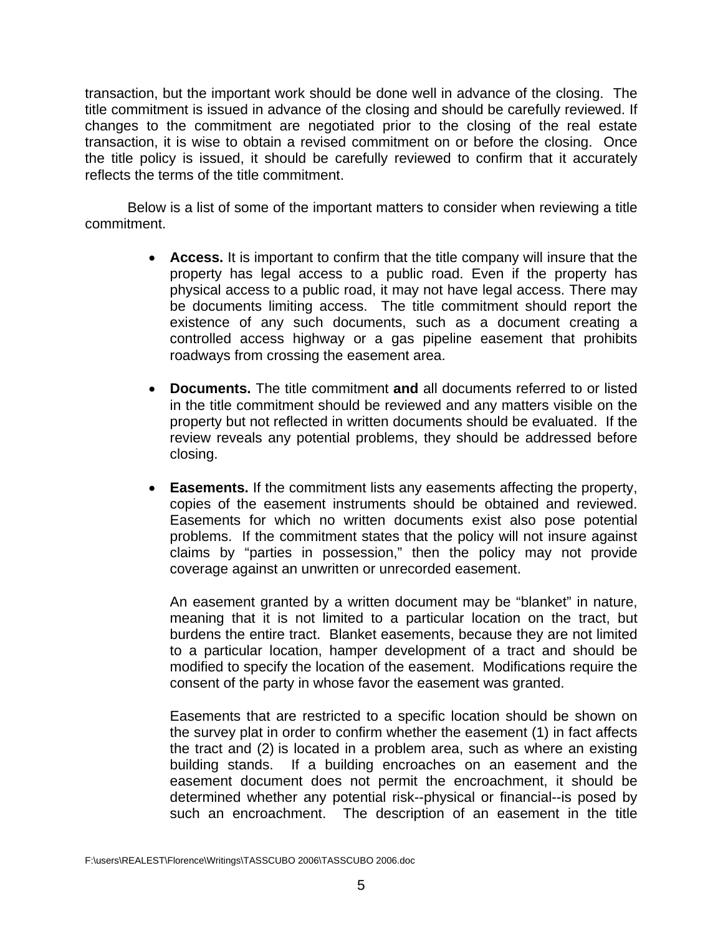transaction, but the important work should be done well in advance of the closing. The title commitment is issued in advance of the closing and should be carefully reviewed. If changes to the commitment are negotiated prior to the closing of the real estate transaction, it is wise to obtain a revised commitment on or before the closing. Once the title policy is issued, it should be carefully reviewed to confirm that it accurately reflects the terms of the title commitment.

Below is a list of some of the important matters to consider when reviewing a title commitment.

- **Access.** It is important to confirm that the title company will insure that the property has legal access to a public road. Even if the property has physical access to a public road, it may not have legal access. There may be documents limiting access. The title commitment should report the existence of any such documents, such as a document creating a controlled access highway or a gas pipeline easement that prohibits roadways from crossing the easement area.
- **Documents.** The title commitment **and** all documents referred to or listed in the title commitment should be reviewed and any matters visible on the property but not reflected in written documents should be evaluated. If the review reveals any potential problems, they should be addressed before closing.
- **Easements.** If the commitment lists any easements affecting the property, copies of the easement instruments should be obtained and reviewed. Easements for which no written documents exist also pose potential problems. If the commitment states that the policy will not insure against claims by "parties in possession," then the policy may not provide coverage against an unwritten or unrecorded easement.

An easement granted by a written document may be "blanket" in nature, meaning that it is not limited to a particular location on the tract, but burdens the entire tract. Blanket easements, because they are not limited to a particular location, hamper development of a tract and should be modified to specify the location of the easement. Modifications require the consent of the party in whose favor the easement was granted.

Easements that are restricted to a specific location should be shown on the survey plat in order to confirm whether the easement (1) in fact affects the tract and (2) is located in a problem area, such as where an existing building stands. If a building encroaches on an easement and the easement document does not permit the encroachment, it should be determined whether any potential risk--physical or financial--is posed by such an encroachment. The description of an easement in the title

F:\users\REALEST\Florence\Writings\TASSCUBO 2006\TASSCUBO 2006.doc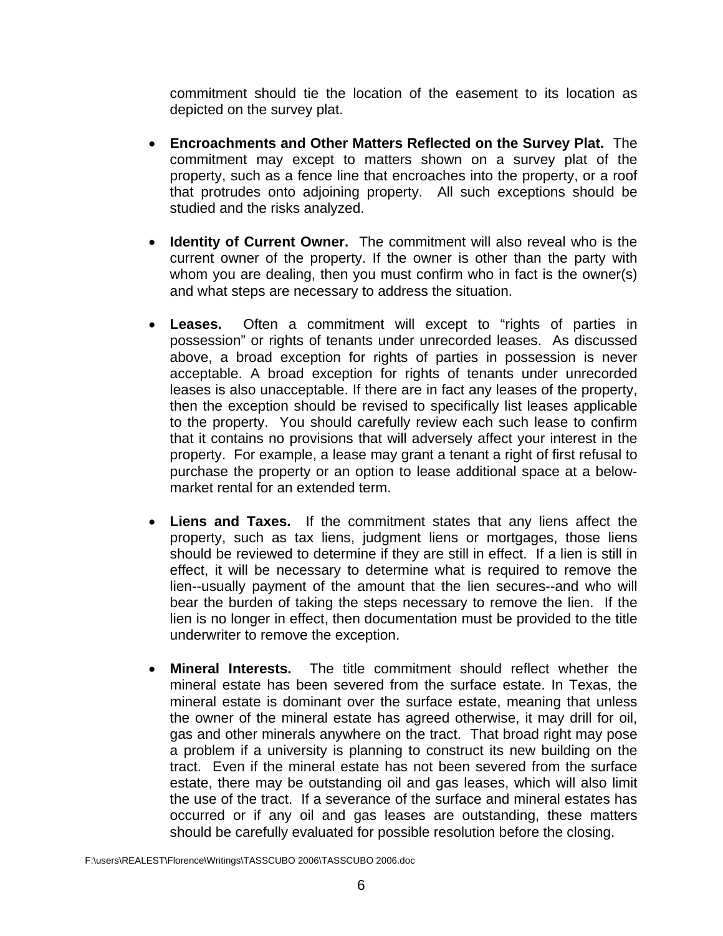commitment should tie the location of the easement to its location as depicted on the survey plat.

- **Encroachments and Other Matters Reflected on the Survey Plat.** The commitment may except to matters shown on a survey plat of the property, such as a fence line that encroaches into the property, or a roof that protrudes onto adjoining property. All such exceptions should be studied and the risks analyzed.
- **Identity of Current Owner.** The commitment will also reveal who is the current owner of the property. If the owner is other than the party with whom you are dealing, then you must confirm who in fact is the owner(s) and what steps are necessary to address the situation.
- **Leases.** Often a commitment will except to "rights of parties in possession" or rights of tenants under unrecorded leases. As discussed above, a broad exception for rights of parties in possession is never acceptable. A broad exception for rights of tenants under unrecorded leases is also unacceptable. If there are in fact any leases of the property, then the exception should be revised to specifically list leases applicable to the property. You should carefully review each such lease to confirm that it contains no provisions that will adversely affect your interest in the property. For example, a lease may grant a tenant a right of first refusal to purchase the property or an option to lease additional space at a belowmarket rental for an extended term.
- **Liens and Taxes.** If the commitment states that any liens affect the property, such as tax liens, judgment liens or mortgages, those liens should be reviewed to determine if they are still in effect. If a lien is still in effect, it will be necessary to determine what is required to remove the lien--usually payment of the amount that the lien secures--and who will bear the burden of taking the steps necessary to remove the lien. If the lien is no longer in effect, then documentation must be provided to the title underwriter to remove the exception.
- **Mineral Interests.** The title commitment should reflect whether the mineral estate has been severed from the surface estate. In Texas, the mineral estate is dominant over the surface estate, meaning that unless the owner of the mineral estate has agreed otherwise, it may drill for oil, gas and other minerals anywhere on the tract. That broad right may pose a problem if a university is planning to construct its new building on the tract. Even if the mineral estate has not been severed from the surface estate, there may be outstanding oil and gas leases, which will also limit the use of the tract. If a severance of the surface and mineral estates has occurred or if any oil and gas leases are outstanding, these matters should be carefully evaluated for possible resolution before the closing.

F:\users\REALEST\Florence\Writings\TASSCUBO 2006\TASSCUBO 2006.doc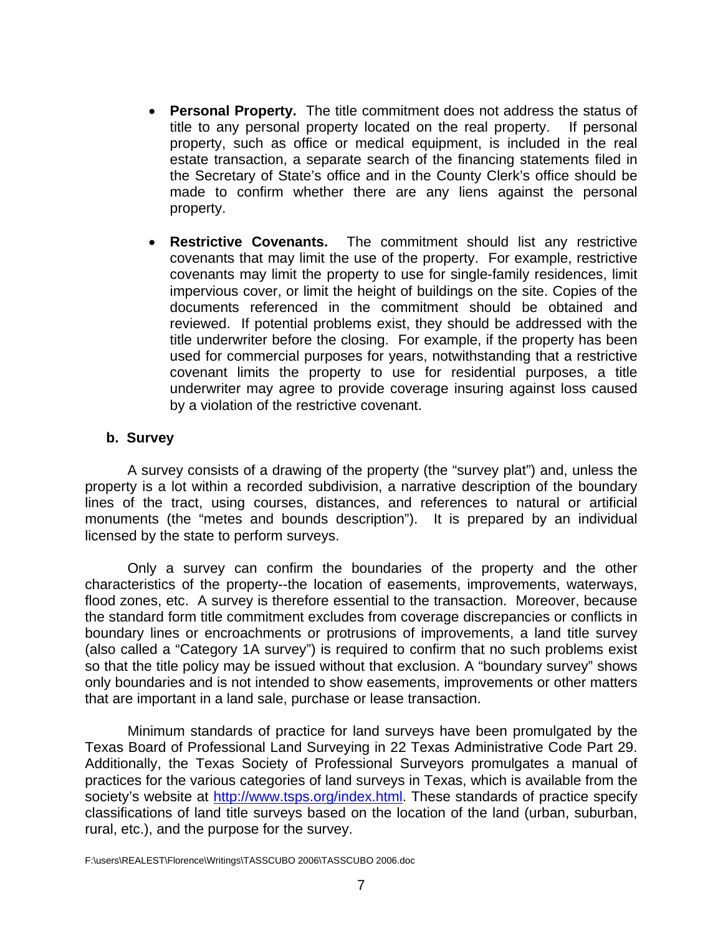- <span id="page-8-0"></span>• **Personal Property.** The title commitment does not address the status of title to any personal property located on the real property. If personal property, such as office or medical equipment, is included in the real estate transaction, a separate search of the financing statements filed in the Secretary of State's office and in the County Clerk's office should be made to confirm whether there are any liens against the personal property.
- **Restrictive Covenants.** The commitment should list any restrictive covenants that may limit the use of the property. For example, restrictive covenants may limit the property to use for single-family residences, limit impervious cover, or limit the height of buildings on the site. Copies of the documents referenced in the commitment should be obtained and reviewed. If potential problems exist, they should be addressed with the title underwriter before the closing. For example, if the property has been used for commercial purposes for years, notwithstanding that a restrictive covenant limits the property to use for residential purposes, a title underwriter may agree to provide coverage insuring against loss caused by a violation of the restrictive covenant.

#### **b. Survey**

 A survey consists of a drawing of the property (the "survey plat") and, unless the property is a lot within a recorded subdivision, a narrative description of the boundary lines of the tract, using courses, distances, and references to natural or artificial monuments (the "metes and bounds description"). It is prepared by an individual licensed by the state to perform surveys.

 Only a survey can confirm the boundaries of the property and the other characteristics of the property--the location of easements, improvements, waterways, flood zones, etc. A survey is therefore essential to the transaction. Moreover, because the standard form title commitment excludes from coverage discrepancies or conflicts in boundary lines or encroachments or protrusions of improvements, a land title survey (also called a "Category 1A survey") is required to confirm that no such problems exist so that the title policy may be issued without that exclusion. A "boundary survey" shows only boundaries and is not intended to show easements, improvements or other matters that are important in a land sale, purchase or lease transaction.

Minimum standards of practice for land surveys have been promulgated by the Texas Board of Professional Land Surveying in 22 Texas Administrative Code Part 29. Additionally, the Texas Society of Professional Surveyors promulgates a manual of practices for the various categories of land surveys in Texas, which is available from the society's website at [http://www.tsps.org/index.html.](http://www.tsps.org/index.html) These standards of practice specify classifications of land title surveys based on the location of the land (urban, suburban, rural, etc.), and the purpose for the survey.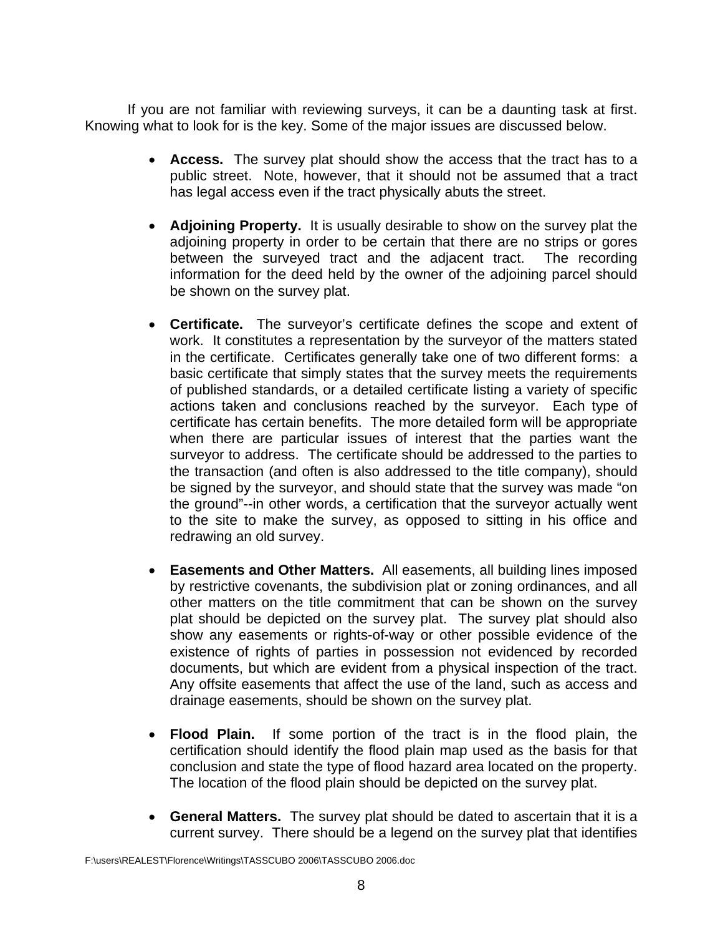If you are not familiar with reviewing surveys, it can be a daunting task at first. Knowing what to look for is the key. Some of the major issues are discussed below.

- **Access.** The survey plat should show the access that the tract has to a public street. Note, however, that it should not be assumed that a tract has legal access even if the tract physically abuts the street.
- **Adjoining Property.** It is usually desirable to show on the survey plat the adjoining property in order to be certain that there are no strips or gores between the surveyed tract and the adjacent tract. The recording information for the deed held by the owner of the adjoining parcel should be shown on the survey plat.
- **Certificate.** The surveyor's certificate defines the scope and extent of work. It constitutes a representation by the surveyor of the matters stated in the certificate. Certificates generally take one of two different forms: a basic certificate that simply states that the survey meets the requirements of published standards, or a detailed certificate listing a variety of specific actions taken and conclusions reached by the surveyor. Each type of certificate has certain benefits. The more detailed form will be appropriate when there are particular issues of interest that the parties want the surveyor to address. The certificate should be addressed to the parties to the transaction (and often is also addressed to the title company), should be signed by the surveyor, and should state that the survey was made "on the ground"--in other words, a certification that the surveyor actually went to the site to make the survey, as opposed to sitting in his office and redrawing an old survey.
- **Easements and Other Matters.** All easements, all building lines imposed by restrictive covenants, the subdivision plat or zoning ordinances, and all other matters on the title commitment that can be shown on the survey plat should be depicted on the survey plat. The survey plat should also show any easements or rights-of-way or other possible evidence of the existence of rights of parties in possession not evidenced by recorded documents, but which are evident from a physical inspection of the tract. Any offsite easements that affect the use of the land, such as access and drainage easements, should be shown on the survey plat.
- **Flood Plain.** If some portion of the tract is in the flood plain, the certification should identify the flood plain map used as the basis for that conclusion and state the type of flood hazard area located on the property. The location of the flood plain should be depicted on the survey plat.
- **General Matters.** The survey plat should be dated to ascertain that it is a current survey. There should be a legend on the survey plat that identifies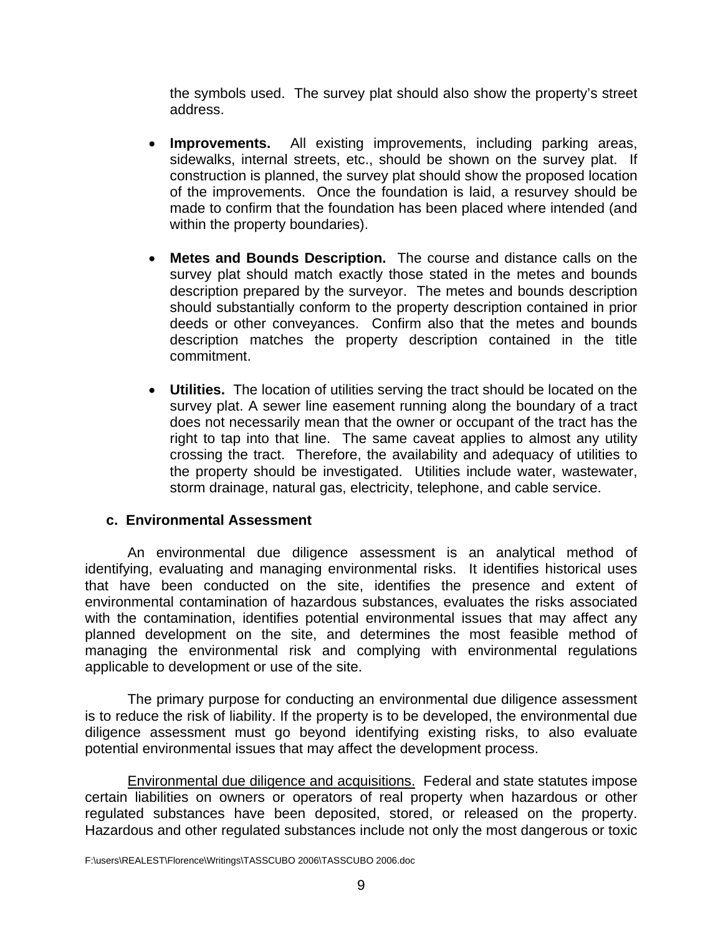<span id="page-10-0"></span>the symbols used. The survey plat should also show the property's street address.

- **Improvements.** All existing improvements, including parking areas, sidewalks, internal streets, etc., should be shown on the survey plat. If construction is planned, the survey plat should show the proposed location of the improvements. Once the foundation is laid, a resurvey should be made to confirm that the foundation has been placed where intended (and within the property boundaries).
- **Metes and Bounds Description.** The course and distance calls on the survey plat should match exactly those stated in the metes and bounds description prepared by the surveyor. The metes and bounds description should substantially conform to the property description contained in prior deeds or other conveyances. Confirm also that the metes and bounds description matches the property description contained in the title commitment.
- **Utilities.** The location of utilities serving the tract should be located on the survey plat. A sewer line easement running along the boundary of a tract does not necessarily mean that the owner or occupant of the tract has the right to tap into that line. The same caveat applies to almost any utility crossing the tract. Therefore, the availability and adequacy of utilities to the property should be investigated. Utilities include water, wastewater, storm drainage, natural gas, electricity, telephone, and cable service.

# **c. Environmental Assessment**

 An environmental due diligence assessment is an analytical method of identifying, evaluating and managing environmental risks. It identifies historical uses that have been conducted on the site, identifies the presence and extent of environmental contamination of hazardous substances, evaluates the risks associated with the contamination, identifies potential environmental issues that may affect any planned development on the site, and determines the most feasible method of managing the environmental risk and complying with environmental regulations applicable to development or use of the site.

 The primary purpose for conducting an environmental due diligence assessment is to reduce the risk of liability. If the property is to be developed, the environmental due diligence assessment must go beyond identifying existing risks, to also evaluate potential environmental issues that may affect the development process.

Environmental due diligence and acquisitions. Federal and state statutes impose certain liabilities on owners or operators of real property when hazardous or other regulated substances have been deposited, stored, or released on the property. Hazardous and other regulated substances include not only the most dangerous or toxic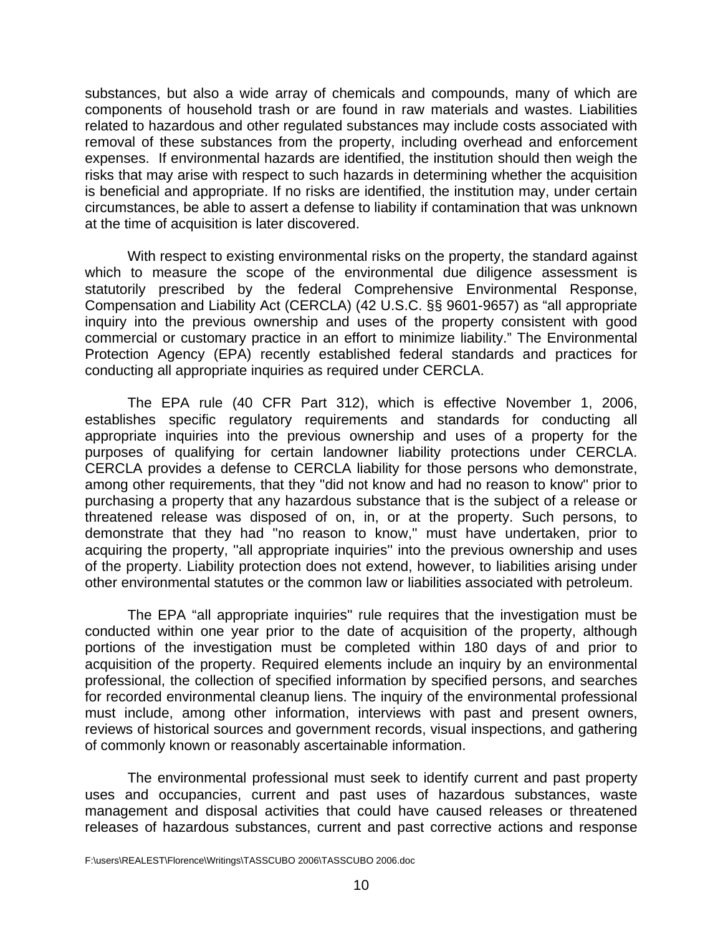substances, but also a wide array of chemicals and compounds, many of which are components of household trash or are found in raw materials and wastes. Liabilities related to hazardous and other regulated substances may include costs associated with removal of these substances from the property, including overhead and enforcement expenses. If environmental hazards are identified, the institution should then weigh the risks that may arise with respect to such hazards in determining whether the acquisition is beneficial and appropriate. If no risks are identified, the institution may, under certain circumstances, be able to assert a defense to liability if contamination that was unknown at the time of acquisition is later discovered.

With respect to existing environmental risks on the property, the standard against which to measure the scope of the environmental due diligence assessment is statutorily prescribed by the federal Comprehensive Environmental Response, Compensation and Liability Act (CERCLA) (42 U.S.C. §§ 9601-9657) as "all appropriate inquiry into the previous ownership and uses of the property consistent with good commercial or customary practice in an effort to minimize liability." The Environmental Protection Agency (EPA) recently established federal standards and practices for conducting all appropriate inquiries as required under CERCLA.

The EPA rule (40 CFR Part 312), which is effective November 1, 2006, establishes specific regulatory requirements and standards for conducting all appropriate inquiries into the previous ownership and uses of a property for the purposes of qualifying for certain landowner liability protections under CERCLA. CERCLA provides a defense to CERCLA liability for those persons who demonstrate, among other requirements, that they ''did not know and had no reason to know'' prior to purchasing a property that any hazardous substance that is the subject of a release or threatened release was disposed of on, in, or at the property. Such persons, to demonstrate that they had ''no reason to know,'' must have undertaken, prior to acquiring the property, ''all appropriate inquiries'' into the previous ownership and uses of the property. Liability protection does not extend, however, to liabilities arising under other environmental statutes or the common law or liabilities associated with petroleum.

The EPA "all appropriate inquiries'' rule requires that the investigation must be conducted within one year prior to the date of acquisition of the property, although portions of the investigation must be completed within 180 days of and prior to acquisition of the property. Required elements include an inquiry by an environmental professional, the collection of specified information by specified persons, and searches for recorded environmental cleanup liens. The inquiry of the environmental professional must include, among other information, interviews with past and present owners, reviews of historical sources and government records, visual inspections, and gathering of commonly known or reasonably ascertainable information.

The environmental professional must seek to identify current and past property uses and occupancies, current and past uses of hazardous substances, waste management and disposal activities that could have caused releases or threatened releases of hazardous substances, current and past corrective actions and response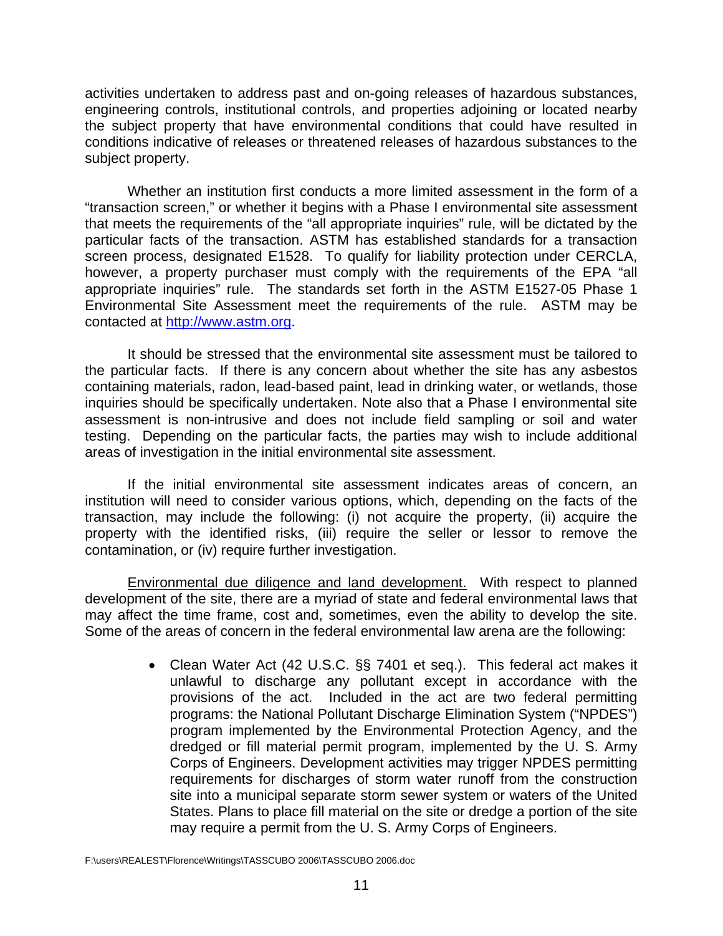activities undertaken to address past and on-going releases of hazardous substances, engineering controls, institutional controls, and properties adjoining or located nearby the subject property that have environmental conditions that could have resulted in conditions indicative of releases or threatened releases of hazardous substances to the subject property.

 Whether an institution first conducts a more limited assessment in the form of a "transaction screen," or whether it begins with a Phase I environmental site assessment that meets the requirements of the "all appropriate inquiries" rule, will be dictated by the particular facts of the transaction. ASTM has established standards for a transaction screen process, designated E1528. To qualify for liability protection under CERCLA, however, a property purchaser must comply with the requirements of the EPA "all appropriate inquiries" rule. The standards set forth in the ASTM E1527-05 Phase 1 Environmental Site Assessment meet the requirements of the rule. ASTM may be contacted at [http://www.astm.org.](http://www.astm.org/)

It should be stressed that the environmental site assessment must be tailored to the particular facts. If there is any concern about whether the site has any asbestos containing materials, radon, lead-based paint, lead in drinking water, or wetlands, those inquiries should be specifically undertaken. Note also that a Phase I environmental site assessment is non-intrusive and does not include field sampling or soil and water testing. Depending on the particular facts, the parties may wish to include additional areas of investigation in the initial environmental site assessment.

If the initial environmental site assessment indicates areas of concern, an institution will need to consider various options, which, depending on the facts of the transaction, may include the following: (i) not acquire the property, (ii) acquire the property with the identified risks, (iii) require the seller or lessor to remove the contamination, or (iv) require further investigation.

Environmental due diligence and land development. With respect to planned development of the site, there are a myriad of state and federal environmental laws that may affect the time frame, cost and, sometimes, even the ability to develop the site. Some of the areas of concern in the federal environmental law arena are the following:

> • Clean Water Act (42 U.S.C. §§ 7401 et seq.). This federal act makes it unlawful to discharge any pollutant except in accordance with the provisions of the act. Included in the act are two federal permitting programs: the National Pollutant Discharge Elimination System ("NPDES") program implemented by the Environmental Protection Agency, and the dredged or fill material permit program, implemented by the U. S. Army Corps of Engineers. Development activities may trigger NPDES permitting requirements for discharges of storm water runoff from the construction site into a municipal separate storm sewer system or waters of the United States. Plans to place fill material on the site or dredge a portion of the site may require a permit from the U. S. Army Corps of Engineers.

F:\users\REALEST\Florence\Writings\TASSCUBO 2006\TASSCUBO 2006.doc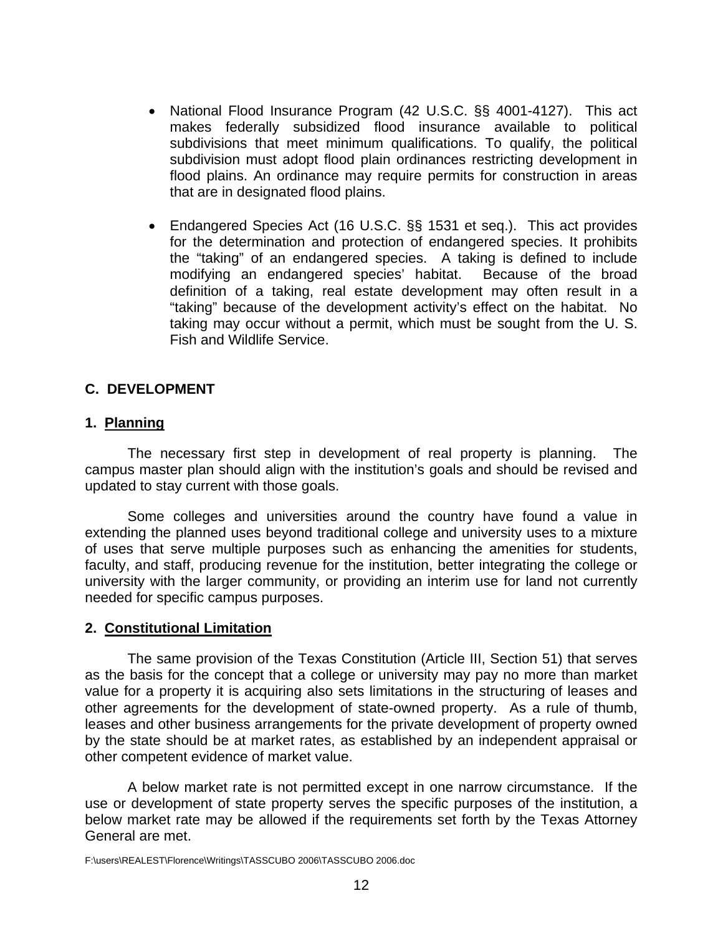- <span id="page-13-0"></span>• National Flood Insurance Program (42 U.S.C. §§ 4001-4127). This act makes federally subsidized flood insurance available to political subdivisions that meet minimum qualifications. To qualify, the political subdivision must adopt flood plain ordinances restricting development in flood plains. An ordinance may require permits for construction in areas that are in designated flood plains.
- Endangered Species Act (16 U.S.C. §§ 1531 et seq.). This act provides for the determination and protection of endangered species. It prohibits the "taking" of an endangered species. A taking is defined to include modifying an endangered species' habitat. Because of the broad definition of a taking, real estate development may often result in a "taking" because of the development activity's effect on the habitat. No taking may occur without a permit, which must be sought from the U. S. Fish and Wildlife Service.

### **C. DEVELOPMENT**

#### **1. Planning**

 The necessary first step in development of real property is planning. The campus master plan should align with the institution's goals and should be revised and updated to stay current with those goals.

 Some colleges and universities around the country have found a value in extending the planned uses beyond traditional college and university uses to a mixture of uses that serve multiple purposes such as enhancing the amenities for students, faculty, and staff, producing revenue for the institution, better integrating the college or university with the larger community, or providing an interim use for land not currently needed for specific campus purposes.

#### **2. Constitutional Limitation**

 The same provision of the Texas Constitution (Article III, Section 51) that serves as the basis for the concept that a college or university may pay no more than market value for a property it is acquiring also sets limitations in the structuring of leases and other agreements for the development of state-owned property. As a rule of thumb, leases and other business arrangements for the private development of property owned by the state should be at market rates, as established by an independent appraisal or other competent evidence of market value.

 A below market rate is not permitted except in one narrow circumstance. If the use or development of state property serves the specific purposes of the institution, a below market rate may be allowed if the requirements set forth by the Texas Attorney General are met.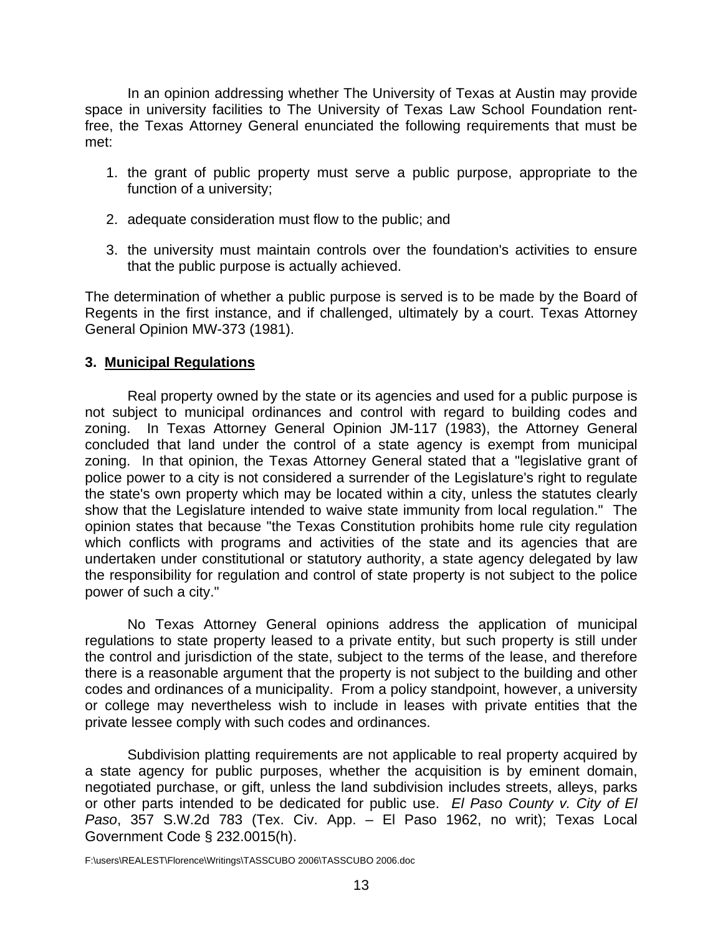<span id="page-14-0"></span> In an opinion addressing whether The University of Texas at Austin may provide space in university facilities to The University of Texas Law School Foundation rentfree, the Texas Attorney General enunciated the following requirements that must be met:

- 1. the grant of public property must serve a public purpose, appropriate to the function of a university;
- 2. adequate consideration must flow to the public; and
- 3. the university must maintain controls over the foundation's activities to ensure that the public purpose is actually achieved.

The determination of whether a public purpose is served is to be made by the Board of Regents in the first instance, and if challenged, ultimately by a court. Texas Attorney General Opinion MW-373 (1981).

### **3. Municipal Regulations**

Real property owned by the state or its agencies and used for a public purpose is not subject to municipal ordinances and control with regard to building codes and zoning. In Texas Attorney General Opinion JM-117 (1983), the Attorney General concluded that land under the control of a state agency is exempt from municipal zoning. In that opinion, the Texas Attorney General stated that a "legislative grant of police power to a city is not considered a surrender of the Legislature's right to regulate the state's own property which may be located within a city, unless the statutes clearly show that the Legislature intended to waive state immunity from local regulation." The opinion states that because "the Texas Constitution prohibits home rule city regulation which conflicts with programs and activities of the state and its agencies that are undertaken under constitutional or statutory authority, a state agency delegated by law the responsibility for regulation and control of state property is not subject to the police power of such a city."

No Texas Attorney General opinions address the application of municipal regulations to state property leased to a private entity, but such property is still under the control and jurisdiction of the state, subject to the terms of the lease, and therefore there is a reasonable argument that the property is not subject to the building and other codes and ordinances of a municipality. From a policy standpoint, however, a university or college may nevertheless wish to include in leases with private entities that the private lessee comply with such codes and ordinances.

Subdivision platting requirements are not applicable to real property acquired by a state agency for public purposes, whether the acquisition is by eminent domain, negotiated purchase, or gift, unless the land subdivision includes streets, alleys, parks or other parts intended to be dedicated for public use. *El Paso County v. City of El Paso*, 357 S.W.2d 783 (Tex. Civ. App. – El Paso 1962, no writ); Texas Local Government Code § 232.0015(h).

F:\users\REALEST\Florence\Writings\TASSCUBO 2006\TASSCUBO 2006.doc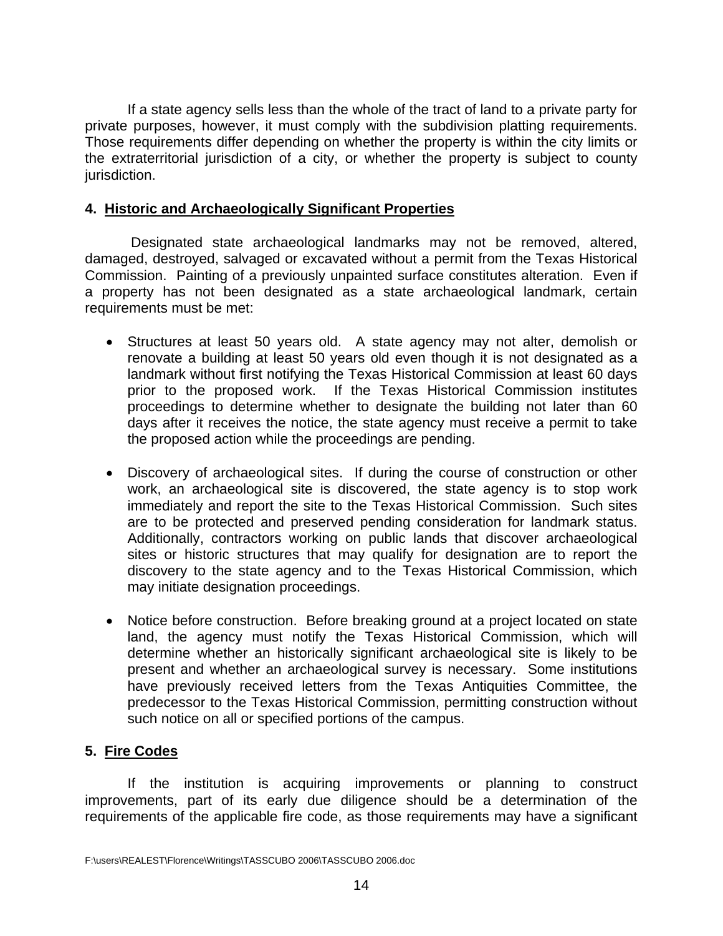<span id="page-15-0"></span>If a state agency sells less than the whole of the tract of land to a private party for private purposes, however, it must comply with the subdivision platting requirements. Those requirements differ depending on whether the property is within the city limits or the extraterritorial jurisdiction of a city, or whether the property is subject to county jurisdiction.

### **4. Historic and Archaeologically Significant Properties**

 Designated state archaeological landmarks may not be removed, altered, damaged, destroyed, salvaged or excavated without a permit from the Texas Historical Commission. Painting of a previously unpainted surface constitutes alteration. Even if a property has not been designated as a state archaeological landmark, certain requirements must be met:

- Structures at least 50 years old. A state agency may not alter, demolish or renovate a building at least 50 years old even though it is not designated as a landmark without first notifying the Texas Historical Commission at least 60 days prior to the proposed work. If the Texas Historical Commission institutes proceedings to determine whether to designate the building not later than 60 days after it receives the notice, the state agency must receive a permit to take the proposed action while the proceedings are pending.
- Discovery of archaeological sites. If during the course of construction or other work, an archaeological site is discovered, the state agency is to stop work immediately and report the site to the Texas Historical Commission. Such sites are to be protected and preserved pending consideration for landmark status. Additionally, contractors working on public lands that discover archaeological sites or historic structures that may qualify for designation are to report the discovery to the state agency and to the Texas Historical Commission, which may initiate designation proceedings.
- Notice before construction. Before breaking ground at a project located on state land, the agency must notify the Texas Historical Commission, which will determine whether an historically significant archaeological site is likely to be present and whether an archaeological survey is necessary. Some institutions have previously received letters from the Texas Antiquities Committee, the predecessor to the Texas Historical Commission, permitting construction without such notice on all or specified portions of the campus.

# **5. Fire Codes**

If the institution is acquiring improvements or planning to construct improvements, part of its early due diligence should be a determination of the requirements of the applicable fire code, as those requirements may have a significant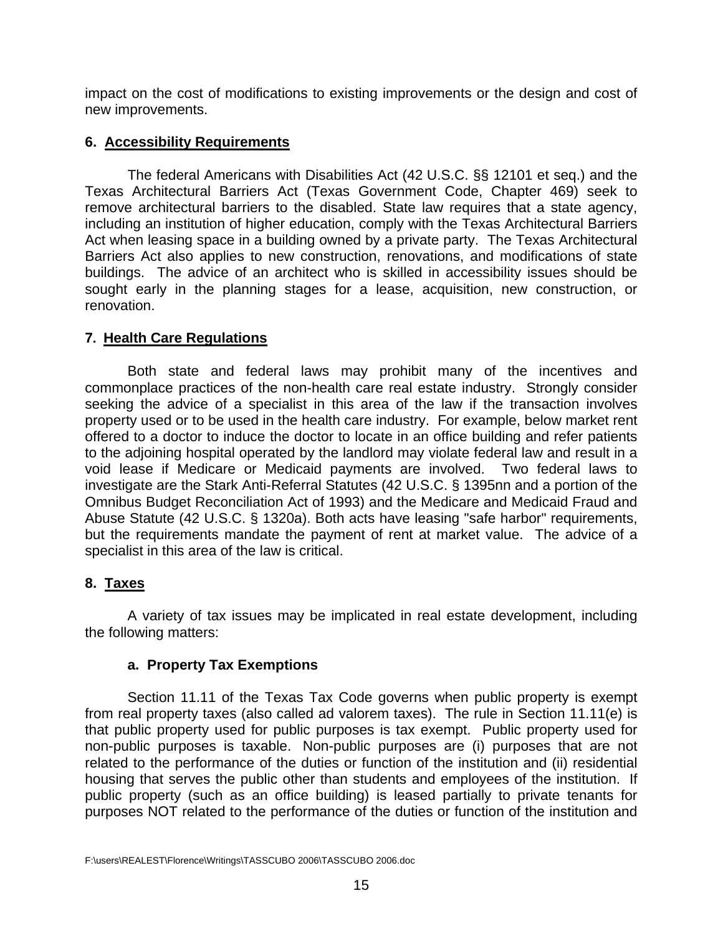<span id="page-16-0"></span>impact on the cost of modifications to existing improvements or the design and cost of new improvements.

### **6. Accessibility Requirements**

The federal Americans with Disabilities Act (42 U.S.C. §§ 12101 et seq.) and the Texas Architectural Barriers Act (Texas Government Code, Chapter 469) seek to remove architectural barriers to the disabled. State law requires that a state agency, including an institution of higher education, comply with the Texas Architectural Barriers Act when leasing space in a building owned by a private party. The Texas Architectural Barriers Act also applies to new construction, renovations, and modifications of state buildings. The advice of an architect who is skilled in accessibility issues should be sought early in the planning stages for a lease, acquisition, new construction, or renovation.

### **7. Health Care Regulations**

Both state and federal laws may prohibit many of the incentives and commonplace practices of the non-health care real estate industry. Strongly consider seeking the advice of a specialist in this area of the law if the transaction involves property used or to be used in the health care industry. For example, below market rent offered to a doctor to induce the doctor to locate in an office building and refer patients to the adjoining hospital operated by the landlord may violate federal law and result in a void lease if Medicare or Medicaid payments are involved. Two federal laws to investigate are the Stark Anti-Referral Statutes (42 U.S.C. § 1395nn and a portion of the Omnibus Budget Reconciliation Act of 1993) and the Medicare and Medicaid Fraud and Abuse Statute (42 U.S.C. § 1320a). Both acts have leasing "safe harbor" requirements, but the requirements mandate the payment of rent at market value. The advice of a specialist in this area of the law is critical.

# **8. Taxes**

A variety of tax issues may be implicated in real estate development, including the following matters:

#### **a. Property Tax Exemptions**

Section 11.11 of the Texas Tax Code governs when public property is exempt from real property taxes (also called ad valorem taxes). The rule in Section 11.11(e) is that public property used for public purposes is tax exempt. Public property used for non-public purposes is taxable. Non-public purposes are (i) purposes that are not related to the performance of the duties or function of the institution and (ii) residential housing that serves the public other than students and employees of the institution. If public property (such as an office building) is leased partially to private tenants for purposes NOT related to the performance of the duties or function of the institution and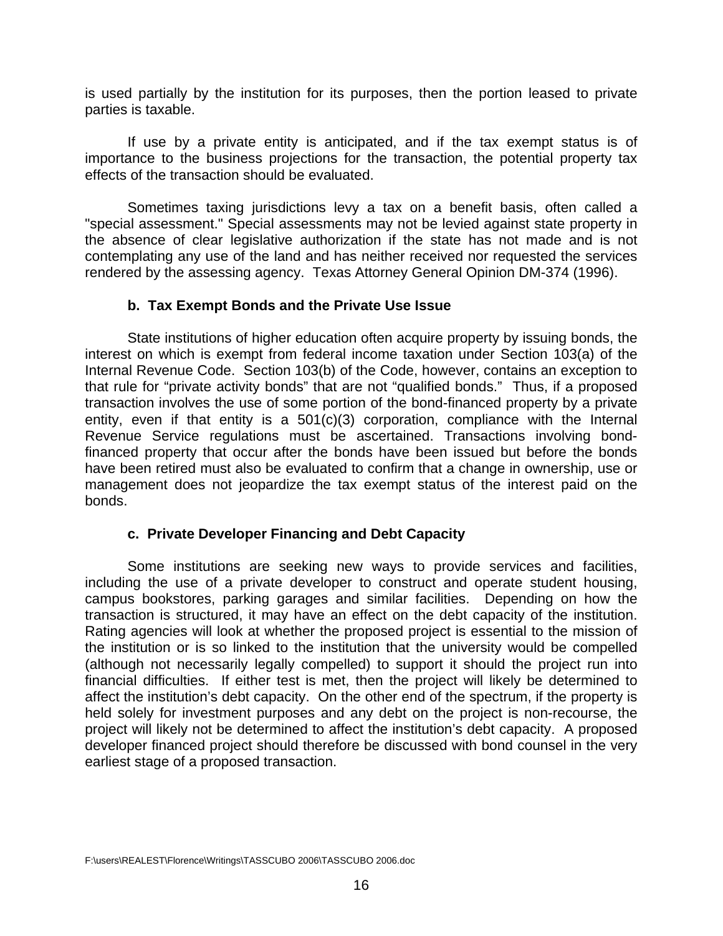<span id="page-17-0"></span>is used partially by the institution for its purposes, then the portion leased to private parties is taxable.

 If use by a private entity is anticipated, and if the tax exempt status is of importance to the business projections for the transaction, the potential property tax effects of the transaction should be evaluated.

Sometimes taxing jurisdictions levy a tax on a benefit basis, often called a "special assessment." Special assessments may not be levied against state property in the absence of clear legislative authorization if the state has not made and is not contemplating any use of the land and has neither received nor requested the services rendered by the assessing agency. Texas Attorney General Opinion DM-374 (1996).

### **b. Tax Exempt Bonds and the Private Use Issue**

State institutions of higher education often acquire property by issuing bonds, the interest on which is exempt from federal income taxation under Section 103(a) of the Internal Revenue Code. Section 103(b) of the Code, however, contains an exception to that rule for "private activity bonds" that are not "qualified bonds." Thus, if a proposed transaction involves the use of some portion of the bond-financed property by a private entity, even if that entity is a  $501(c)(3)$  corporation, compliance with the Internal Revenue Service regulations must be ascertained. Transactions involving bondfinanced property that occur after the bonds have been issued but before the bonds have been retired must also be evaluated to confirm that a change in ownership, use or management does not jeopardize the tax exempt status of the interest paid on the bonds.

#### **c. Private Developer Financing and Debt Capacity**

Some institutions are seeking new ways to provide services and facilities, including the use of a private developer to construct and operate student housing, campus bookstores, parking garages and similar facilities. Depending on how the transaction is structured, it may have an effect on the debt capacity of the institution. Rating agencies will look at whether the proposed project is essential to the mission of the institution or is so linked to the institution that the university would be compelled (although not necessarily legally compelled) to support it should the project run into financial difficulties. If either test is met, then the project will likely be determined to affect the institution's debt capacity. On the other end of the spectrum, if the property is held solely for investment purposes and any debt on the project is non-recourse, the project will likely not be determined to affect the institution's debt capacity. A proposed developer financed project should therefore be discussed with bond counsel in the very earliest stage of a proposed transaction.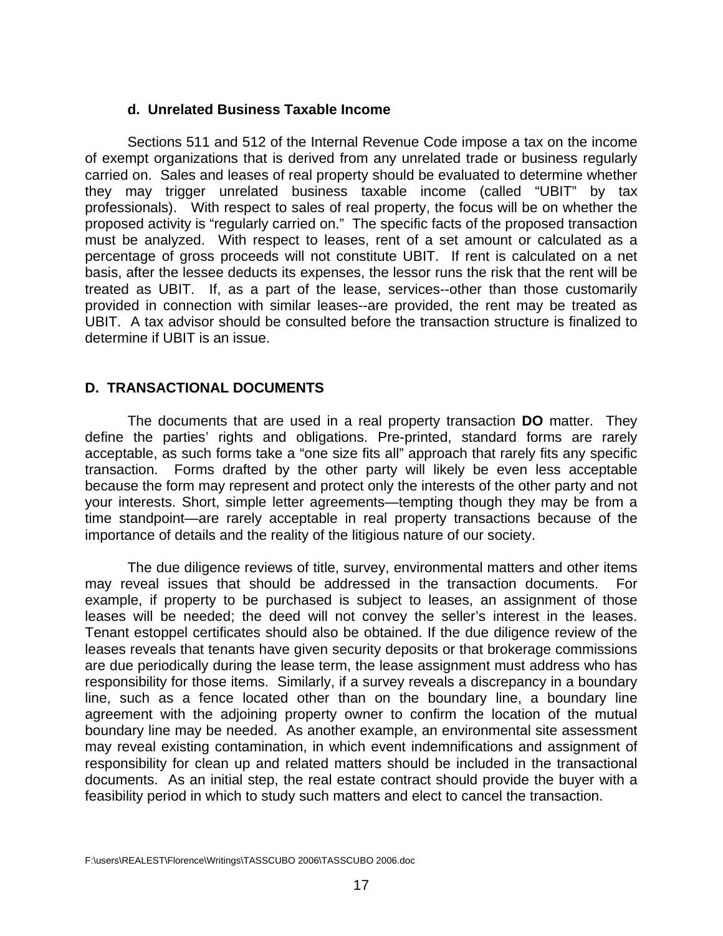#### **d. Unrelated Business Taxable Income**

<span id="page-18-0"></span>Sections 511 and 512 of the Internal Revenue Code impose a tax on the income of exempt organizations that is derived from any unrelated trade or business regularly carried on. Sales and leases of real property should be evaluated to determine whether they may trigger unrelated business taxable income (called "UBIT" by tax professionals). With respect to sales of real property, the focus will be on whether the proposed activity is "regularly carried on." The specific facts of the proposed transaction must be analyzed. With respect to leases, rent of a set amount or calculated as a percentage of gross proceeds will not constitute UBIT. If rent is calculated on a net basis, after the lessee deducts its expenses, the lessor runs the risk that the rent will be treated as UBIT. If, as a part of the lease, services--other than those customarily provided in connection with similar leases--are provided, the rent may be treated as UBIT. A tax advisor should be consulted before the transaction structure is finalized to determine if UBIT is an issue.

#### **D. TRANSACTIONAL DOCUMENTS**

 The documents that are used in a real property transaction **DO** matter. They define the parties' rights and obligations. Pre-printed, standard forms are rarely acceptable, as such forms take a "one size fits all" approach that rarely fits any specific transaction. Forms drafted by the other party will likely be even less acceptable because the form may represent and protect only the interests of the other party and not your interests. Short, simple letter agreements—tempting though they may be from a time standpoint—are rarely acceptable in real property transactions because of the importance of details and the reality of the litigious nature of our society.

 The due diligence reviews of title, survey, environmental matters and other items may reveal issues that should be addressed in the transaction documents. For example, if property to be purchased is subject to leases, an assignment of those leases will be needed; the deed will not convey the seller's interest in the leases. Tenant estoppel certificates should also be obtained. If the due diligence review of the leases reveals that tenants have given security deposits or that brokerage commissions are due periodically during the lease term, the lease assignment must address who has responsibility for those items. Similarly, if a survey reveals a discrepancy in a boundary line, such as a fence located other than on the boundary line, a boundary line agreement with the adjoining property owner to confirm the location of the mutual boundary line may be needed. As another example, an environmental site assessment may reveal existing contamination, in which event indemnifications and assignment of responsibility for clean up and related matters should be included in the transactional documents. As an initial step, the real estate contract should provide the buyer with a feasibility period in which to study such matters and elect to cancel the transaction.

F:\users\REALEST\Florence\Writings\TASSCUBO 2006\TASSCUBO 2006.doc